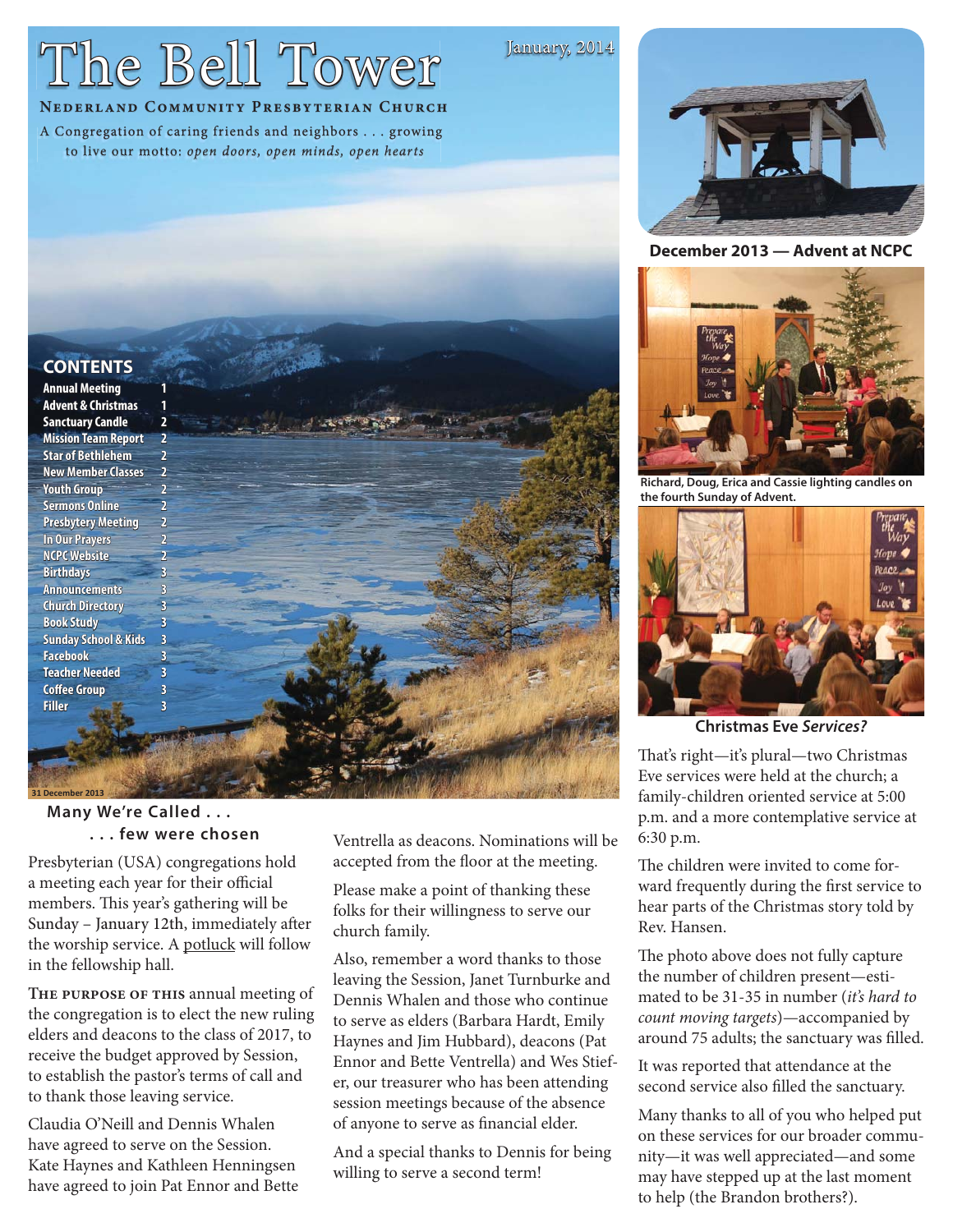## The Bell Tower

#### January, 2014

#### **NEDERLAND COMMUNITY PRESBYTERIAN CHURCH**

A Congregation of caring friends and neighbors . . . growing to live our motto: open doors, open minds, open hearts



**December 2013 — Advent at NCPC**



**Richard, Doug, Erica and Cassie lighting candles on the fourth Sunday of Advent.**



**Christmas Eve** *Services?*

That's right—it's plural—two Christmas Eve services were held at the church; a family-children oriented service at 5:00 p.m. and a more contemplative service at 6:30 p.m.

The children were invited to come forward frequently during the first service to hear parts of the Christmas story told by Rev. Hansen.

The photo above does not fully capture the number of children present—estimated to be 31-35 in number (it's hard to count moving targets)—accompanied by around 75 adults; the sanctuary was filled.

It was reported that attendance at the second service also filled the sanctuary.

Many thanks to all of you who helped put on these services for our broader community—it was well appreciated—and some may have stepped up at the last moment to help (the Brandon brothers?).

#### **CONTENTS ONTENTS**

**Annual Meeting Advent & Christmas Sanctuary Candle anctuary 2 Mission Team Report Star of Bethlehem New Member Classes Youth Group Sermons Online Presbytery Meeting In Our Prayers NCPC Website Birthdays Announcements Church Directory hurch 3 Book Study Sunday School & Kids Facebook Teacher Needed Coffee Group Filler 3**

# **31 December 2013 Many We're Called . . .**

### **. . . few were chosen**

Presbyterian (USA) congregations hold a meeting each year for their official members. This year's gathering will be Sunday - January 12th, immediately after the worship service. A potluck will follow in the fellowship hall.

**The purpose of this** annual meeting of the congregation is to elect the new ruling elders and deacons to the class of 2017, to receive the budget approved by Session, to establish the pastor's terms of call and to thank those leaving service.

Claudia O'Neill and Dennis Whalen have agreed to serve on the Session. Kate Haynes and Kathleen Henningsen have agreed to join Pat Ennor and Bette Ventrella as deacons. Nominations will be accepted from the floor at the meeting.

Please make a point of thanking these folks for their willingness to serve our church family.

Also, remember a word thanks to those leaving the Session, Janet Turnburke and Dennis Whalen and those who continue to serve as elders (Barbara Hardt, Emily Haynes and Jim Hubbard), deacons (Pat Ennor and Bette Ventrella) and Wes Stiefer, our treasurer who has been attending session meetings because of the absence of anyone to serve as financial elder.

And a special thanks to Dennis for being willing to serve a second term!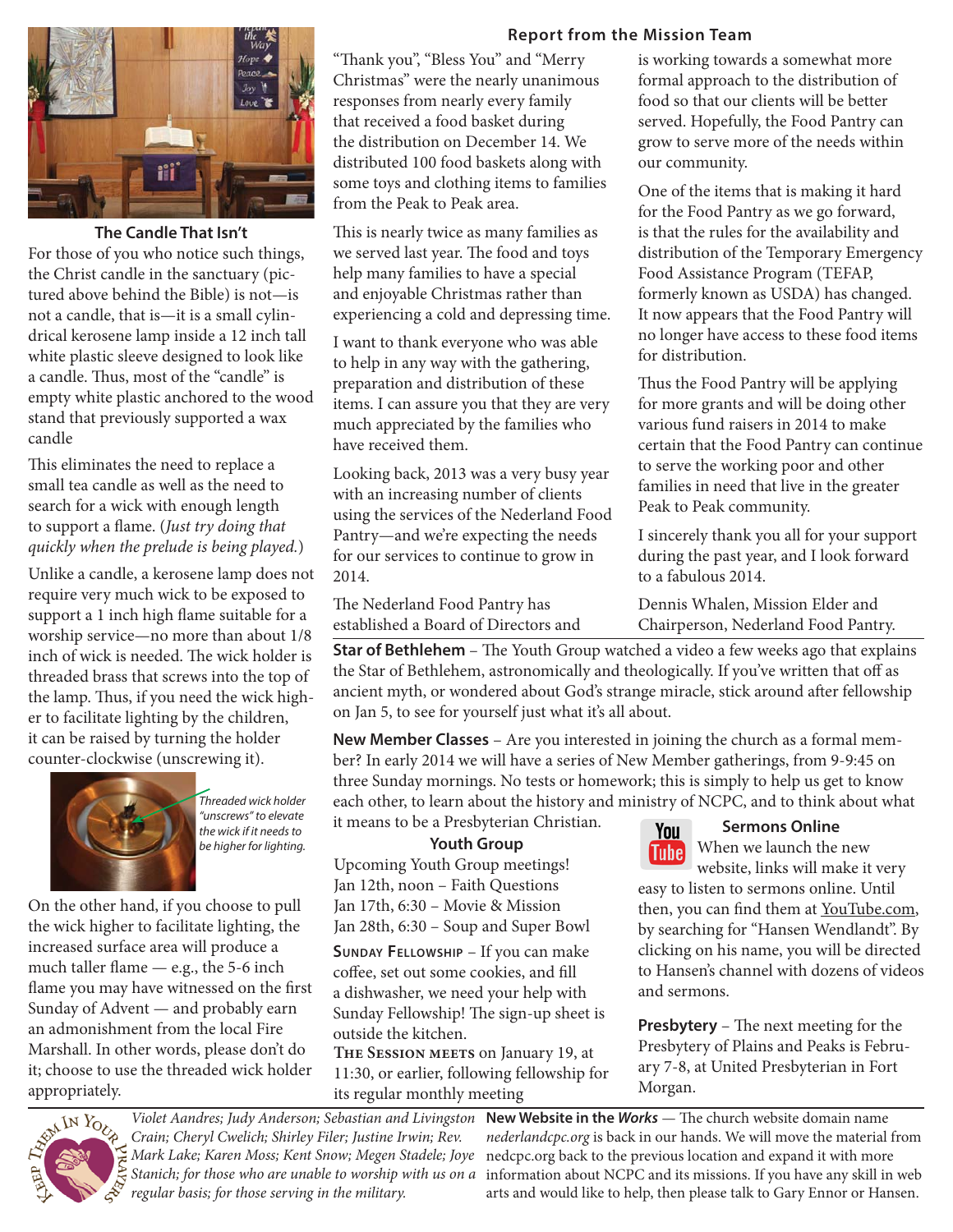#### **Report from the Mission Team**



**The Candle That Isn't**

For those of you who notice such things, the Christ candle in the sanctuary (pictured above behind the Bible) is not—is not a candle, that is—it is a small cylindrical kerosene lamp inside a 12 inch tall white plastic sleeve designed to look like a candle. Thus, most of the "candle" is empty white plastic anchored to the wood stand that previously supported a wax candle

This eliminates the need to replace a small tea candle as well as the need to search for a wick with enough length to support a flame. (Just try doing that quickly when the prelude is being played.)

Unlike a candle, a kerosene lamp does not require very much wick to be exposed to support a 1 inch high flame suitable for a worship service—no more than about 1/8 inch of wick is needed. The wick holder is threaded brass that screws into the top of the lamp. Thus, if you need the wick higher to facilitate lighting by the children, it can be raised by turning the holder counter-clockwise (unscrewing it).



*Threaded wick holder "unscrews" to elevate the wick if it needs to be higher for lighting.*

On the other hand, if you choose to pull the wick higher to facilitate lighting, the increased surface area will produce a much taller flame  $-$  e.g., the 5-6 inch flame you may have witnessed on the first Sunday of Advent — and probably earn an admonishment from the local Fire Marshall. In other words, please don't do it; choose to use the threaded wick holder appropriately.

"Thank you", "Bless You" and "Merry Christmas" were the nearly unanimous responses from nearly every family that received a food basket during the distribution on December 14. We distributed 100 food baskets along with some toys and clothing items to families from the Peak to Peak area.

This is nearly twice as many families as we served last year. The food and toys help many families to have a special and enjoyable Christmas rather than experiencing a cold and depressing time.

I want to thank everyone who was able to help in any way with the gathering, preparation and distribution of these items. I can assure you that they are very much appreciated by the families who have received them.

Looking back, 2013 was a very busy year with an increasing number of clients using the services of the Nederland Food Pantry—and we're expecting the needs for our services to continue to grow in 2014.

The Nederland Food Pantry has established a Board of Directors and

**Star of Bethlehem** - The Youth Group watched a video a few weeks ago that explains the Star of Bethlehem, astronomically and theologically. If you've written that off as ancient myth, or wondered about God's strange miracle, stick around after fellowship on Jan 5, to see for yourself just what it's all about.

**New Member Classes** – Are you interested in joining the church as a formal member? In early 2014 we will have a series of New Member gatherings, from 9-9:45 on three Sunday mornings. No tests or homework; this is simply to help us get to know each other, to learn about the history and ministry of NCPC, and to think about what it means to be a Presbyterian Christian.

#### **Youth Group**

Upcoming Youth Group meetings! Jan 12th, noon – Faith Questions Jan 17th, 6:30 – Movie & Mission Jan 28th, 6:30 – Soup and Super Bowl

**SUNDAY FELLOWSHIP** – If you can make coffee, set out some cookies, and fill a dishwasher, we need your help with Sunday Fellowship! The sign-up sheet is outside the kitchen.

**The Session meets** on January 19, at 11:30, or earlier, following fellowship for its regular monthly meeting



You

#### **Sermons Online**

When we launch the new Tubel website, links will make it very

easy to listen to sermons online. Until then, you can find them at YouTube.com, by searching for "Hansen Wendlandt". By clicking on his name, you will be directed to Hansen's channel with dozens of videos and sermons.

**Presbytery** – The next meeting for the Presbytery of Plains and Peaks is February 7-8, at United Presbyterian in Fort Morgan.



Crain; Cheryl Cwelich; Shirley Filer; Justine Irwin; Rev. Mark Lake; Karen Moss; Kent Snow; Megen Stadele; Joye Stanich; for those who are unable to worship with us on a regular basis; for those serving in the military.

Violet Aandres; Judy Anderson; Sebastian and Livingston New Website in the Works - The church website domain name nederlandcpc.org is back in our hands. We will move the material from nedcpc.org back to the previous location and expand it with more information about NCPC and its missions. If you have any skill in web arts and would like to help, then please talk to Gary Ennor or Hansen.

is working towards a somewhat more formal approach to the distribution of food so that our clients will be better served. Hopefully, the Food Pantry can grow to serve more of the needs within our community.

One of the items that is making it hard for the Food Pantry as we go forward, is that the rules for the availability and distribution of the Temporary Emergency Food Assistance Program (TEFAP, formerly known as USDA) has changed. It now appears that the Food Pantry will no longer have access to these food items for distribution.

Thus the Food Pantry will be applying for more grants and will be doing other various fund raisers in 2014 to make certain that the Food Pantry can continue to serve the working poor and other families in need that live in the greater Peak to Peak community.

I sincerely thank you all for your support during the past year, and I look forward to a fabulous 2014.

Dennis Whalen, Mission Elder and Chairperson, Nederland Food Pantry.